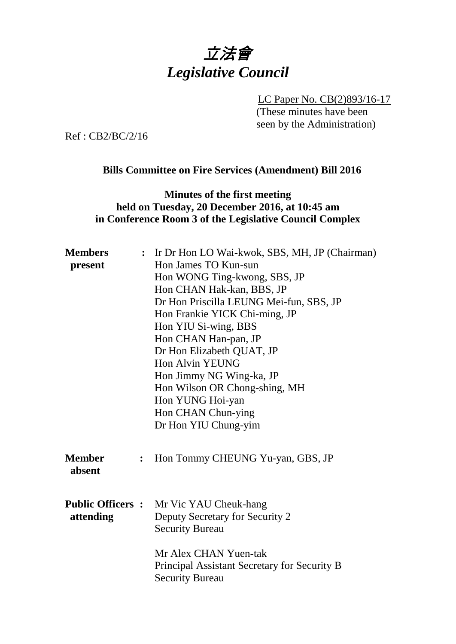# 立法會 *Legislative Council*

LC Paper No. CB(2)893/16-17 (These minutes have been seen by the Administration)

Ref : CB2/BC/2/16

#### **Bills Committee on Fire Services (Amendment) Bill 2016**

#### **Minutes of the first meeting held on Tuesday, 20 December 2016, at 10:45 am in Conference Room 3 of the Legislative Council Complex**

| <b>Members</b> |                | : Ir Dr Hon LO Wai-kwok, SBS, MH, JP (Chairman)                       |
|----------------|----------------|-----------------------------------------------------------------------|
| present        |                | Hon James TO Kun-sun                                                  |
|                |                | Hon WONG Ting-kwong, SBS, JP                                          |
|                |                | Hon CHAN Hak-kan, BBS, JP                                             |
|                |                | Dr Hon Priscilla LEUNG Mei-fun, SBS, JP                               |
|                |                | Hon Frankie YICK Chi-ming, JP                                         |
|                |                | Hon YIU Si-wing, BBS                                                  |
|                |                | Hon CHAN Han-pan, JP                                                  |
|                |                | Dr Hon Elizabeth QUAT, JP                                             |
|                |                | <b>Hon Alvin YEUNG</b>                                                |
|                |                | Hon Jimmy NG Wing-ka, JP                                              |
|                |                | Hon Wilson OR Chong-shing, MH                                         |
|                |                | Hon YUNG Hoi-yan                                                      |
|                |                | Hon CHAN Chun-ying                                                    |
|                |                | Dr Hon YIU Chung-yim                                                  |
| <b>Member</b>  | $\ddot{\cdot}$ | Hon Tommy CHEUNG Yu-yan, GBS, JP                                      |
| absent         |                |                                                                       |
|                |                |                                                                       |
|                |                | <b>Public Officers :</b> Mr Vic YAU Cheuk-hang                        |
| attending      |                | Deputy Secretary for Security 2<br><b>Security Bureau</b>             |
|                |                | Mr Alex CHAN Yuen-tak<br>Principal Assistant Secretary for Security B |
|                |                | <b>Security Bureau</b>                                                |
|                |                |                                                                       |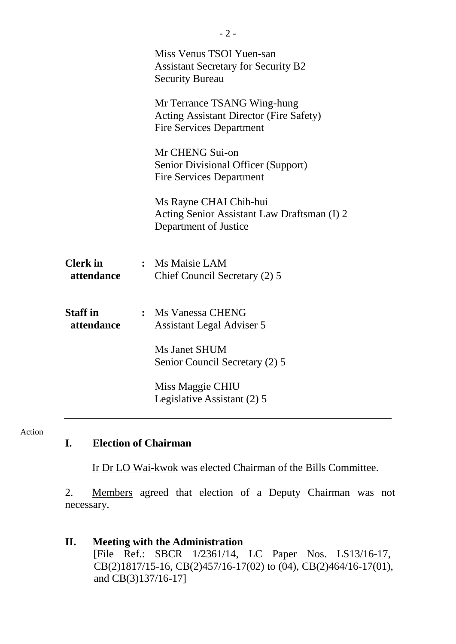|                               | Miss Venus TSOI Yuen-san<br><b>Assistant Secretary for Security B2</b><br><b>Security Bureau</b>                 |
|-------------------------------|------------------------------------------------------------------------------------------------------------------|
|                               | Mr Terrance TSANG Wing-hung<br><b>Acting Assistant Director (Fire Safety)</b><br><b>Fire Services Department</b> |
|                               | Mr CHENG Sui-on<br>Senior Divisional Officer (Support)<br><b>Fire Services Department</b>                        |
|                               | Ms Rayne CHAI Chih-hui<br>Acting Senior Assistant Law Draftsman (I) 2<br>Department of Justice                   |
| <b>Clerk</b> in<br>attendance | : Ms Maisie LAM<br>Chief Council Secretary (2) 5                                                                 |
| <b>Staff in</b><br>attendance | : Ms Vanessa CHENG<br>Assistant Legal Adviser 5                                                                  |
|                               | Ms Janet SHUM<br>Senior Council Secretary (2) 5                                                                  |
|                               | Miss Maggie CHIU<br>Legislative Assistant (2) 5                                                                  |

#### Action

#### **I. Election of Chairman**

Ir Dr LO Wai-kwok was elected Chairman of the Bills Committee.

2. Members agreed that election of a Deputy Chairman was not necessary.

#### **II. Meeting with the Administration** [File Ref.: SBCR 1/2361/14, LC Paper Nos. LS13/16-17, CB(2)1817/15-16, CB(2)457/16-17(02) to (04), CB(2)464/16-17(01), and CB(3)137/16-17]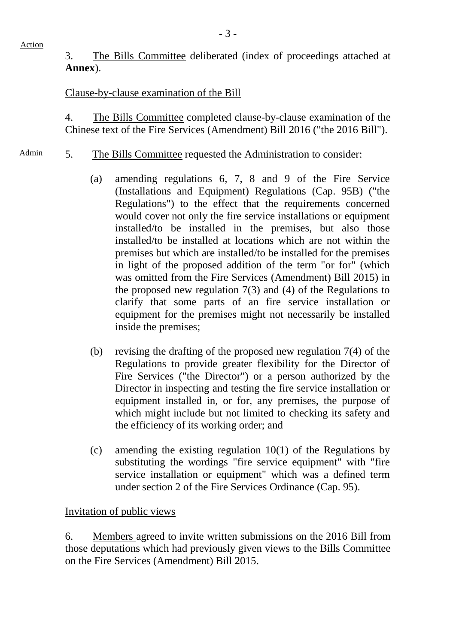Action

3. The Bills Committee deliberated (index of proceedings attached at **Annex**).

### Clause-by-clause examination of the Bill

4. The Bills Committee completed clause-by-clause examination of the Chinese text of the Fire Services (Amendment) Bill 2016 ("the 2016 Bill").

- Admin 5. The Bills Committee requested the Administration to consider:
	- (a) amending regulations 6, 7, 8 and 9 of the Fire Service (Installations and Equipment) Regulations (Cap. 95B) ("the Regulations") to the effect that the requirements concerned would cover not only the fire service installations or equipment installed/to be installed in the premises, but also those installed/to be installed at locations which are not within the premises but which are installed/to be installed for the premises in light of the proposed addition of the term "or for" (which was omitted from the Fire Services (Amendment) Bill 2015) in the proposed new regulation 7(3) and (4) of the Regulations to clarify that some parts of an fire service installation or equipment for the premises might not necessarily be installed inside the premises;
	- (b) revising the drafting of the proposed new regulation 7(4) of the Regulations to provide greater flexibility for the Director of Fire Services ("the Director") or a person authorized by the Director in inspecting and testing the fire service installation or equipment installed in, or for, any premises, the purpose of which might include but not limited to checking its safety and the efficiency of its working order; and
	- (c) amending the existing regulation 10(1) of the Regulations by substituting the wordings "fire service equipment" with "fire service installation or equipment" which was a defined term under section 2 of the Fire Services Ordinance (Cap. 95).

#### Invitation of public views

6. Members agreed to invite written submissions on the 2016 Bill from those deputations which had previously given views to the Bills Committee on the Fire Services (Amendment) Bill 2015.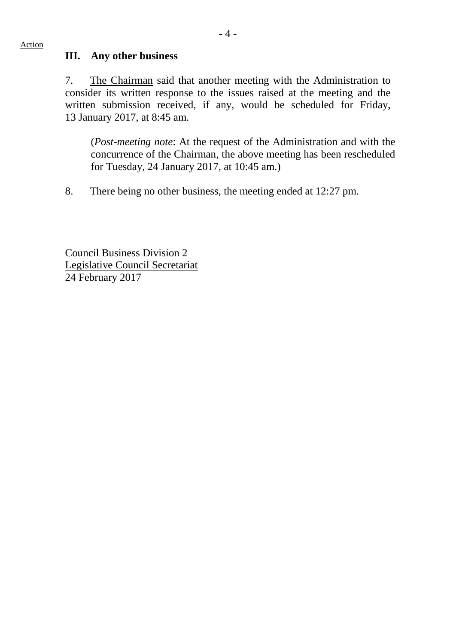#### **III. Any other business**

7. The Chairman said that another meeting with the Administration to consider its written response to the issues raised at the meeting and the written submission received, if any, would be scheduled for Friday, 13 January 2017, at 8:45 am.

(*Post-meeting note*: At the request of the Administration and with the concurrence of the Chairman, the above meeting has been rescheduled for Tuesday, 24 January 2017, at 10:45 am.)

8. There being no other business, the meeting ended at 12:27 pm.

Council Business Division 2 Legislative Council Secretariat 24 February 2017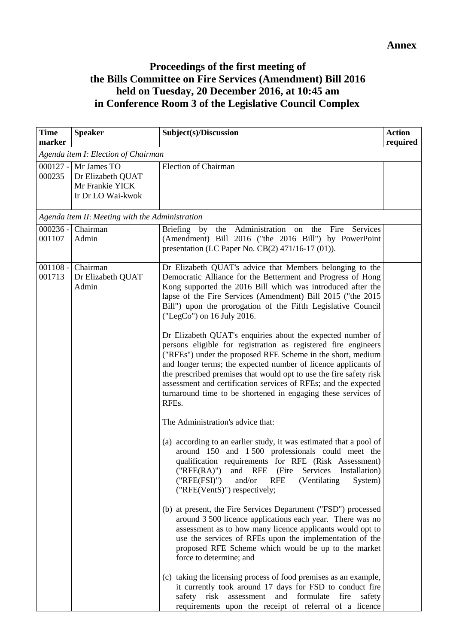## **Proceedings of the first meeting of the Bills Committee on Fire Services (Amendment) Bill 2016 held on Tuesday, 20 December 2016, at 10:45 am in Conference Room 3 of the Legislative Council Complex**

| <b>Speaker</b><br>marker                                                                                                            | Subject(s)/Discussion<br><b>Action</b><br>required                                                                                                                                                                                                                                                                                                                                                                                                                                                                                                                                                                                                                                                                                                                                                                                                                                                                                                                                                                                                                                                                                                                                                                                                                                                                                                                                                                                                                                                                                                                                                                                                                                                               |
|-------------------------------------------------------------------------------------------------------------------------------------|------------------------------------------------------------------------------------------------------------------------------------------------------------------------------------------------------------------------------------------------------------------------------------------------------------------------------------------------------------------------------------------------------------------------------------------------------------------------------------------------------------------------------------------------------------------------------------------------------------------------------------------------------------------------------------------------------------------------------------------------------------------------------------------------------------------------------------------------------------------------------------------------------------------------------------------------------------------------------------------------------------------------------------------------------------------------------------------------------------------------------------------------------------------------------------------------------------------------------------------------------------------------------------------------------------------------------------------------------------------------------------------------------------------------------------------------------------------------------------------------------------------------------------------------------------------------------------------------------------------------------------------------------------------------------------------------------------------|
| Agenda item I: Election of Chairman                                                                                                 |                                                                                                                                                                                                                                                                                                                                                                                                                                                                                                                                                                                                                                                                                                                                                                                                                                                                                                                                                                                                                                                                                                                                                                                                                                                                                                                                                                                                                                                                                                                                                                                                                                                                                                                  |
| $000127 -$<br>Mr James TO<br><b>Election of Chairman</b><br>000235<br>Dr Elizabeth QUAT<br>Mr Frankie YICK<br>Ir Dr LO Wai-kwok     |                                                                                                                                                                                                                                                                                                                                                                                                                                                                                                                                                                                                                                                                                                                                                                                                                                                                                                                                                                                                                                                                                                                                                                                                                                                                                                                                                                                                                                                                                                                                                                                                                                                                                                                  |
| Agenda item II: Meeting with the Administration                                                                                     |                                                                                                                                                                                                                                                                                                                                                                                                                                                                                                                                                                                                                                                                                                                                                                                                                                                                                                                                                                                                                                                                                                                                                                                                                                                                                                                                                                                                                                                                                                                                                                                                                                                                                                                  |
| $000236 -$<br>Chairman<br>Briefing<br>001107<br>Admin                                                                               | by the Administration on the<br>Fire<br>Services<br>(Amendment) Bill 2016 ("the 2016 Bill") by PowerPoint<br>presentation (LC Paper No. CB(2) 471/16-17 (01)).                                                                                                                                                                                                                                                                                                                                                                                                                                                                                                                                                                                                                                                                                                                                                                                                                                                                                                                                                                                                                                                                                                                                                                                                                                                                                                                                                                                                                                                                                                                                                   |
| $001108 -$<br>Chairman<br>001713<br>Dr Elizabeth QUAT<br>Admin<br>RFE <sub>s</sub> .<br>("RFE(RA)")<br>("RFE(FSI)" )<br>safety risk | Dr Elizabeth QUAT's advice that Members belonging to the<br>Democratic Alliance for the Betterment and Progress of Hong<br>Kong supported the 2016 Bill which was introduced after the<br>lapse of the Fire Services (Amendment) Bill 2015 ("the 2015<br>Bill") upon the prorogation of the Fifth Legislative Council<br>("LegCo") on 16 July 2016.<br>Dr Elizabeth QUAT's enquiries about the expected number of<br>persons eligible for registration as registered fire engineers<br>("RFEs") under the proposed RFE Scheme in the short, medium<br>and longer terms; the expected number of licence applicants of<br>the prescribed premises that would opt to use the fire safety risk<br>assessment and certification services of RFEs; and the expected<br>turnaround time to be shortened in engaging these services of<br>The Administration's advice that:<br>(a) according to an earlier study, it was estimated that a pool of<br>around 150 and 1500 professionals could meet the<br>qualification requirements for RFE (Risk Assessment)<br>and RFE<br>(Fire<br>Services<br>Installation)<br>and/or<br><b>RFE</b><br>(Ventilating<br>System)<br>("RFE(VentS)") respectively;<br>(b) at present, the Fire Services Department ("FSD") processed<br>around 3 500 licence applications each year. There was no<br>assessment as to how many licence applicants would opt to<br>use the services of RFEs upon the implementation of the<br>proposed RFE Scheme which would be up to the market<br>force to determine; and<br>(c) taking the licensing process of food premises as an example,<br>it currently took around 17 days for FSD to conduct fire<br>and formulate fire<br>assessment<br>safety |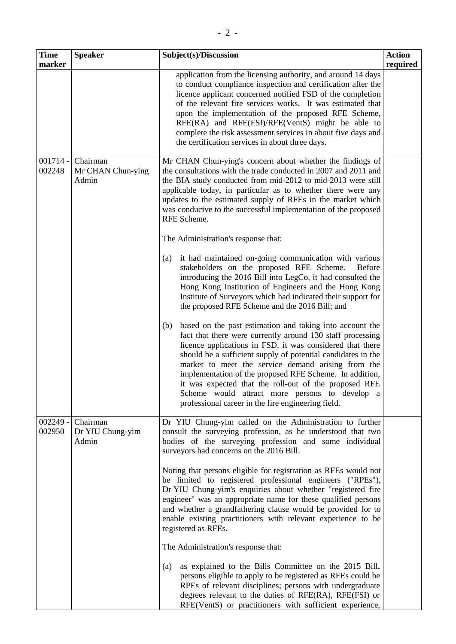| <b>Time</b><br>marker | <b>Speaker</b>                         | Subject(s)/Discussion                                                                                                                                                                                                                                                                                                                                                                                                                                                                                                                                                                                                                                                                                                                                                                                                                                                                                                                                                                                                                                                                                                                                                                                                                                                                                                                                                    | <b>Action</b><br>required |
|-----------------------|----------------------------------------|--------------------------------------------------------------------------------------------------------------------------------------------------------------------------------------------------------------------------------------------------------------------------------------------------------------------------------------------------------------------------------------------------------------------------------------------------------------------------------------------------------------------------------------------------------------------------------------------------------------------------------------------------------------------------------------------------------------------------------------------------------------------------------------------------------------------------------------------------------------------------------------------------------------------------------------------------------------------------------------------------------------------------------------------------------------------------------------------------------------------------------------------------------------------------------------------------------------------------------------------------------------------------------------------------------------------------------------------------------------------------|---------------------------|
|                       |                                        | application from the licensing authority, and around 14 days<br>to conduct compliance inspection and certification after the<br>licence applicant concerned notified FSD of the completion<br>of the relevant fire services works. It was estimated that<br>upon the implementation of the proposed RFE Scheme,<br>RFE(RA) and RFE(FSI)/RFE(VentS) might be able to<br>complete the risk assessment services in about five days and<br>the certification services in about three days.                                                                                                                                                                                                                                                                                                                                                                                                                                                                                                                                                                                                                                                                                                                                                                                                                                                                                   |                           |
| $001714 -$<br>002248  | Chairman<br>Mr CHAN Chun-ying<br>Admin | Mr CHAN Chun-ying's concern about whether the findings of<br>the consultations with the trade conducted in 2007 and 2011 and<br>the BIA study conducted from mid-2012 to mid-2013 were still<br>applicable today, in particular as to whether there were any<br>updates to the estimated supply of RFEs in the market which<br>was conducive to the successful implementation of the proposed<br>RFE Scheme.<br>The Administration's response that:<br>it had maintained on-going communication with various<br>(a)<br>stakeholders on the proposed RFE Scheme.<br><b>Before</b><br>introducing the 2016 Bill into LegCo, it had consulted the<br>Hong Kong Institution of Engineers and the Hong Kong<br>Institute of Surveyors which had indicated their support for<br>the proposed RFE Scheme and the 2016 Bill; and<br>based on the past estimation and taking into account the<br>(b)<br>fact that there were currently around 130 staff processing<br>licence applications in FSD, it was considered that there<br>should be a sufficient supply of potential candidates in the<br>market to meet the service demand arising from the<br>implementation of the proposed RFE Scheme. In addition,<br>it was expected that the roll-out of the proposed RFE<br>Scheme would attract more persons to develop a<br>professional career in the fire engineering field. |                           |
| $002249 -$<br>002950  | Chairman<br>Dr YIU Chung-yim<br>Admin  | Dr YIU Chung-yim called on the Administration to further<br>consult the surveying profession, as he understood that two<br>bodies of the surveying profession and some individual<br>surveyors had concerns on the 2016 Bill.<br>Noting that persons eligible for registration as RFEs would not<br>be limited to registered professional engineers ("RPEs"),<br>Dr YIU Chung-yim's enquiries about whether "registered fire<br>engineer" was an appropriate name for these qualified persons<br>and whether a grandfathering clause would be provided for to<br>enable existing practitioners with relevant experience to be<br>registered as RFEs.<br>The Administration's response that:<br>as explained to the Bills Committee on the 2015 Bill,<br>(a)<br>persons eligible to apply to be registered as RFEs could be<br>RPEs of relevant disciplines; persons with undergraduate<br>degrees relevant to the duties of RFE(RA), RFE(FSI) or<br>RFE(VentS) or practitioners with sufficient experience,                                                                                                                                                                                                                                                                                                                                                              |                           |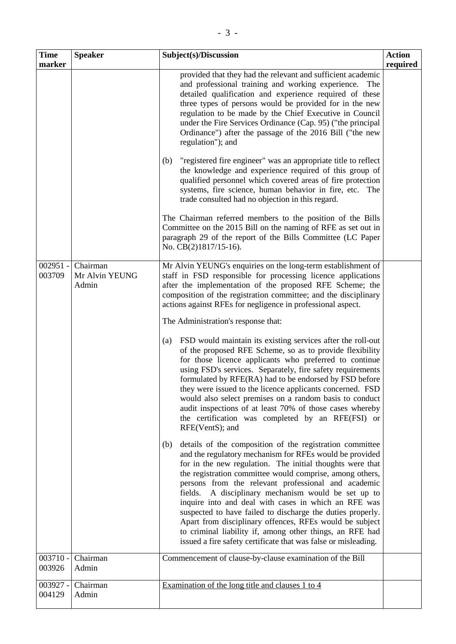| <b>Time</b><br>marker | <b>Speaker</b>                      | Subject(s)/Discussion                                                                                                                                                                                                                                                                                                                                                                                                                                                                                                                                                                                                                                                                                                                                                                                                                                                                                                                                                                                                                                                                                                                                                                                                                                                                                                                                                                                                                                                                                                                                                                                                                    | <b>Action</b><br>required |
|-----------------------|-------------------------------------|------------------------------------------------------------------------------------------------------------------------------------------------------------------------------------------------------------------------------------------------------------------------------------------------------------------------------------------------------------------------------------------------------------------------------------------------------------------------------------------------------------------------------------------------------------------------------------------------------------------------------------------------------------------------------------------------------------------------------------------------------------------------------------------------------------------------------------------------------------------------------------------------------------------------------------------------------------------------------------------------------------------------------------------------------------------------------------------------------------------------------------------------------------------------------------------------------------------------------------------------------------------------------------------------------------------------------------------------------------------------------------------------------------------------------------------------------------------------------------------------------------------------------------------------------------------------------------------------------------------------------------------|---------------------------|
|                       |                                     | provided that they had the relevant and sufficient academic<br>and professional training and working experience.<br>The<br>detailed qualification and experience required of these<br>three types of persons would be provided for in the new<br>regulation to be made by the Chief Executive in Council<br>under the Fire Services Ordinance (Cap. 95) ("the principal<br>Ordinance") after the passage of the 2016 Bill ("the new<br>regulation"); and<br>"registered fire engineer" was an appropriate title to reflect<br>(b)<br>the knowledge and experience required of this group of<br>qualified personnel which covered areas of fire protection<br>systems, fire science, human behavior in fire, etc. The<br>trade consulted had no objection in this regard.<br>The Chairman referred members to the position of the Bills<br>Committee on the 2015 Bill on the naming of RFE as set out in<br>paragraph 29 of the report of the Bills Committee (LC Paper<br>No. CB(2)1817/15-16).                                                                                                                                                                                                                                                                                                                                                                                                                                                                                                                                                                                                                                          |                           |
| $002951 -$<br>003709  | Chairman<br>Mr Alvin YEUNG<br>Admin | Mr Alvin YEUNG's enquiries on the long-term establishment of<br>staff in FSD responsible for processing licence applications<br>after the implementation of the proposed RFE Scheme; the<br>composition of the registration committee; and the disciplinary<br>actions against RFEs for negligence in professional aspect.<br>The Administration's response that:<br>FSD would maintain its existing services after the roll-out<br>(a)<br>of the proposed RFE Scheme, so as to provide flexibility<br>for those licence applicants who preferred to continue<br>using FSD's services. Separately, fire safety requirements<br>formulated by RFE(RA) had to be endorsed by FSD before<br>they were issued to the licence applicants concerned. FSD<br>would also select premises on a random basis to conduct<br>audit inspections of at least 70% of those cases whereby<br>the certification was completed by an RFE(FSI) or<br>RFE(VentS); and<br>details of the composition of the registration committee<br>(b)<br>and the regulatory mechanism for RFEs would be provided<br>for in the new regulation. The initial thoughts were that<br>the registration committee would comprise, among others,<br>persons from the relevant professional and academic<br>A disciplinary mechanism would be set up to<br>fields.<br>inquire into and deal with cases in which an RFE was<br>suspected to have failed to discharge the duties properly.<br>Apart from disciplinary offences, RFEs would be subject<br>to criminal liability if, among other things, an RFE had<br>issued a fire safety certificate that was false or misleading. |                           |
| $003710 -$<br>003926  | Chairman<br>Admin                   | Commencement of clause-by-clause examination of the Bill                                                                                                                                                                                                                                                                                                                                                                                                                                                                                                                                                                                                                                                                                                                                                                                                                                                                                                                                                                                                                                                                                                                                                                                                                                                                                                                                                                                                                                                                                                                                                                                 |                           |
| 003927 -<br>004129    | Chairman<br>Admin                   | Examination of the long title and clauses 1 to 4                                                                                                                                                                                                                                                                                                                                                                                                                                                                                                                                                                                                                                                                                                                                                                                                                                                                                                                                                                                                                                                                                                                                                                                                                                                                                                                                                                                                                                                                                                                                                                                         |                           |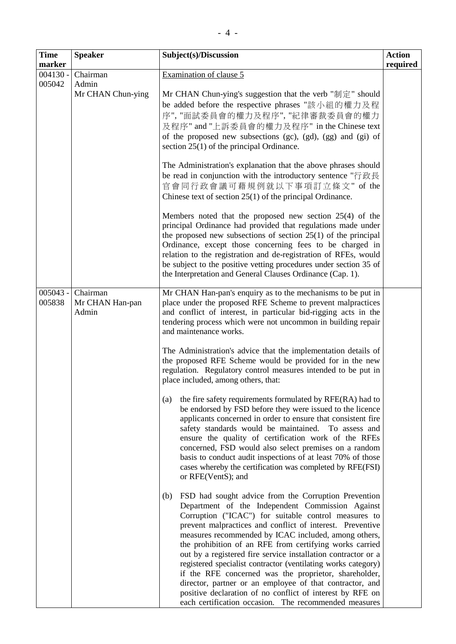| <b>Time</b>          | <b>Speaker</b>                       | Subject(s)/Discussion                                                                                                                                                                                                                                                                                                                                                                                                                                                                                                                                                                                                                                                                                                                | <b>Action</b> |
|----------------------|--------------------------------------|--------------------------------------------------------------------------------------------------------------------------------------------------------------------------------------------------------------------------------------------------------------------------------------------------------------------------------------------------------------------------------------------------------------------------------------------------------------------------------------------------------------------------------------------------------------------------------------------------------------------------------------------------------------------------------------------------------------------------------------|---------------|
| marker               |                                      |                                                                                                                                                                                                                                                                                                                                                                                                                                                                                                                                                                                                                                                                                                                                      | required      |
| $004130 -$<br>005042 | Chairman                             | Examination of clause 5                                                                                                                                                                                                                                                                                                                                                                                                                                                                                                                                                                                                                                                                                                              |               |
|                      | Admin<br>Mr CHAN Chun-ying           | Mr CHAN Chun-ying's suggestion that the verb "制定" should<br>be added before the respective phrases "該小組的權力及程<br>序", "面試委員會的權力及程序", "紀律審裁委員會的權力<br>及程序" and "上訴委員會的權力及程序" in the Chinese text<br>of the proposed new subsections (gc), (gd), (gg) and (gi) of<br>section $25(1)$ of the principal Ordinance.                                                                                                                                                                                                                                                                                                                                                                                                                          |               |
|                      |                                      | The Administration's explanation that the above phrases should<br>be read in conjunction with the introductory sentence "行政長<br>官會同行政會議可藉規例就以下事項訂立條文" of the<br>Chinese text of section $25(1)$ of the principal Ordinance.                                                                                                                                                                                                                                                                                                                                                                                                                                                                                                          |               |
|                      |                                      | Members noted that the proposed new section $25(4)$ of the<br>principal Ordinance had provided that regulations made under<br>the proposed new subsections of section $25(1)$ of the principal<br>Ordinance, except those concerning fees to be charged in<br>relation to the registration and de-registration of RFEs, would<br>be subject to the positive vetting procedures under section 35 of<br>the Interpretation and General Clauses Ordinance (Cap. 1).                                                                                                                                                                                                                                                                     |               |
| $005043 -$<br>005838 | Chairman<br>Mr CHAN Han-pan<br>Admin | Mr CHAN Han-pan's enquiry as to the mechanisms to be put in<br>place under the proposed RFE Scheme to prevent malpractices<br>and conflict of interest, in particular bid-rigging acts in the<br>tendering process which were not uncommon in building repair<br>and maintenance works.                                                                                                                                                                                                                                                                                                                                                                                                                                              |               |
|                      |                                      | The Administration's advice that the implementation details of<br>the proposed RFE Scheme would be provided for in the new<br>regulation. Regulatory control measures intended to be put in<br>place included, among others, that:                                                                                                                                                                                                                                                                                                                                                                                                                                                                                                   |               |
|                      |                                      | the fire safety requirements formulated by RFE(RA) had to<br>(a)<br>be endorsed by FSD before they were issued to the licence<br>applicants concerned in order to ensure that consistent fire<br>safety standards would be maintained. To assess and<br>ensure the quality of certification work of the RFEs<br>concerned, FSD would also select premises on a random<br>basis to conduct audit inspections of at least 70% of those<br>cases whereby the certification was completed by RFE(FSI)<br>or RFE(VentS); and                                                                                                                                                                                                              |               |
|                      |                                      | FSD had sought advice from the Corruption Prevention<br>(b)<br>Department of the Independent Commission Against<br>Corruption ("ICAC") for suitable control measures to<br>prevent malpractices and conflict of interest. Preventive<br>measures recommended by ICAC included, among others,<br>the prohibition of an RFE from certifying works carried<br>out by a registered fire service installation contractor or a<br>registered specialist contractor (ventilating works category)<br>if the RFE concerned was the proprietor, shareholder,<br>director, partner or an employee of that contractor, and<br>positive declaration of no conflict of interest by RFE on<br>each certification occasion. The recommended measures |               |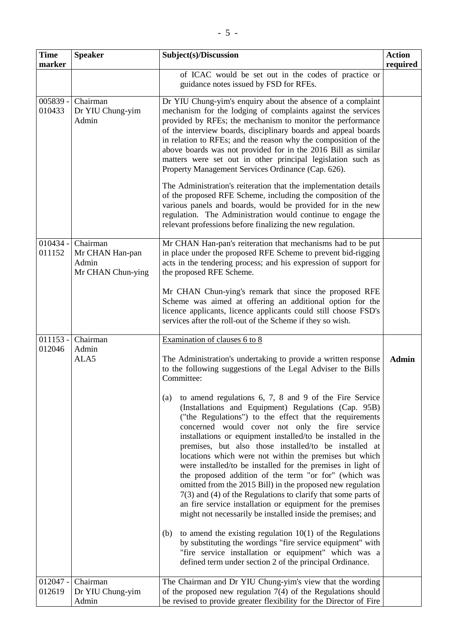| <b>Time</b>          | <b>Speaker</b>                                            | Subject(s)/Discussion                                                                                                                                                                                                                                                                                                                                                                                                                                                                                                                                                                                                                                                                                                                                                                                                                               | <b>Action</b> |
|----------------------|-----------------------------------------------------------|-----------------------------------------------------------------------------------------------------------------------------------------------------------------------------------------------------------------------------------------------------------------------------------------------------------------------------------------------------------------------------------------------------------------------------------------------------------------------------------------------------------------------------------------------------------------------------------------------------------------------------------------------------------------------------------------------------------------------------------------------------------------------------------------------------------------------------------------------------|---------------|
| marker               |                                                           | of ICAC would be set out in the codes of practice or<br>guidance notes issued by FSD for RFEs.                                                                                                                                                                                                                                                                                                                                                                                                                                                                                                                                                                                                                                                                                                                                                      | required      |
| $005839 -$<br>010433 | Chairman<br>Dr YIU Chung-yim<br>Admin                     | Dr YIU Chung-yim's enquiry about the absence of a complaint<br>mechanism for the lodging of complaints against the services<br>provided by RFEs; the mechanism to monitor the performance<br>of the interview boards, disciplinary boards and appeal boards<br>in relation to RFEs; and the reason why the composition of the<br>above boards was not provided for in the 2016 Bill as similar<br>matters were set out in other principal legislation such as<br>Property Management Services Ordinance (Cap. 626).<br>The Administration's reiteration that the implementation details<br>of the proposed RFE Scheme, including the composition of the<br>various panels and boards, would be provided for in the new<br>regulation. The Administration would continue to engage the<br>relevant professions before finalizing the new regulation. |               |
| $010434 -$<br>011152 | Chairman<br>Mr CHAN Han-pan<br>Admin<br>Mr CHAN Chun-ying | Mr CHAN Han-pan's reiteration that mechanisms had to be put<br>in place under the proposed RFE Scheme to prevent bid-rigging<br>acts in the tendering process; and his expression of support for<br>the proposed RFE Scheme.                                                                                                                                                                                                                                                                                                                                                                                                                                                                                                                                                                                                                        |               |
|                      |                                                           | Mr CHAN Chun-ying's remark that since the proposed RFE<br>Scheme was aimed at offering an additional option for the<br>licence applicants, licence applicants could still choose FSD's<br>services after the roll-out of the Scheme if they so wish.                                                                                                                                                                                                                                                                                                                                                                                                                                                                                                                                                                                                |               |
| $011153 -$<br>012046 | Chairman<br>Admin                                         | Examination of clauses 6 to 8                                                                                                                                                                                                                                                                                                                                                                                                                                                                                                                                                                                                                                                                                                                                                                                                                       |               |
|                      | ALA5                                                      | The Administration's undertaking to provide a written response<br>to the following suggestions of the Legal Adviser to the Bills<br>Committee:<br>to amend regulations $6, 7, 8$ and $9$ of the Fire Service<br>(a)<br>(Installations and Equipment) Regulations (Cap. 95B)<br>("the Regulations") to the effect that the requirements<br>concerned would cover not only the fire service<br>installations or equipment installed/to be installed in the<br>premises, but also those installed/to be installed at<br>locations which were not within the premises but which<br>were installed/to be installed for the premises in light of                                                                                                                                                                                                          | <b>Admin</b>  |
|                      |                                                           | the proposed addition of the term "or for" (which was<br>omitted from the 2015 Bill) in the proposed new regulation<br>$7(3)$ and (4) of the Regulations to clarify that some parts of<br>an fire service installation or equipment for the premises<br>might not necessarily be installed inside the premises; and<br>to amend the existing regulation $10(1)$ of the Regulations<br>(b)<br>by substituting the wordings "fire service equipment" with                                                                                                                                                                                                                                                                                                                                                                                             |               |
|                      |                                                           | "fire service installation or equipment" which was a<br>defined term under section 2 of the principal Ordinance.                                                                                                                                                                                                                                                                                                                                                                                                                                                                                                                                                                                                                                                                                                                                    |               |
| $012047 -$<br>012619 | Chairman<br>Dr YIU Chung-yim<br>Admin                     | The Chairman and Dr YIU Chung-yim's view that the wording<br>of the proposed new regulation $7(4)$ of the Regulations should<br>be revised to provide greater flexibility for the Director of Fire                                                                                                                                                                                                                                                                                                                                                                                                                                                                                                                                                                                                                                                  |               |